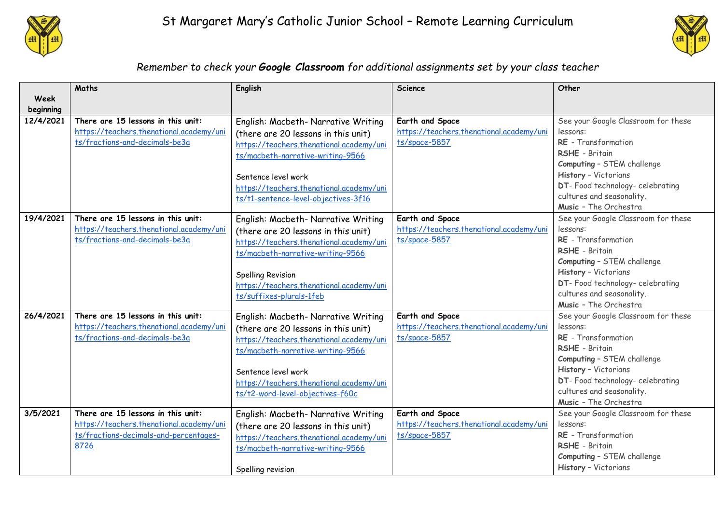



## *Remember to check your Google Classroom for additional assignments set by your class teacher*

|           | Maths                                    | English                                  | <b>Science</b>                                              | Other                                              |
|-----------|------------------------------------------|------------------------------------------|-------------------------------------------------------------|----------------------------------------------------|
| Week      |                                          |                                          |                                                             |                                                    |
| beginning |                                          |                                          |                                                             |                                                    |
| 12/4/2021 | There are 15 lessons in this unit:       | English: Macbeth- Narrative Writing      | Earth and Space                                             | See your Google Classroom for these                |
|           | https://teachers.thenational.academy/uni | (there are 20 lessons in this unit)      | https://teachers.thenational.academy/uni                    | lessons:                                           |
|           | ts/fractions-and-decimals-be3a           | https://teachers.thenational.academy/uni | ts/space-5857                                               | RE - Transformation                                |
|           |                                          | ts/macbeth-narrative-writing-9566        |                                                             | RSHE - Britain                                     |
|           |                                          |                                          |                                                             | Computing - STEM challenge                         |
|           |                                          | Sentence level work                      |                                                             | History - Victorians                               |
|           |                                          | https://teachers.thenational.academy/uni |                                                             | DT- Food technology- celebrating                   |
|           |                                          | ts/t1-sentence-level-objectives-3f16     |                                                             | cultures and seasonality.                          |
|           |                                          |                                          |                                                             | Music - The Orchestra                              |
| 19/4/2021 | There are 15 lessons in this unit:       | English: Macbeth- Narrative Writing      | Earth and Space                                             | See your Google Classroom for these                |
|           | https://teachers.thenational.academy/uni | (there are 20 lessons in this unit)      | https://teachers.thenational.academy/uni                    | lessons:                                           |
|           | ts/fractions-and-decimals-be3a           | https://teachers.thenational.academy/uni | ts/space-5857                                               | RE - Transformation                                |
|           |                                          | ts/macbeth-narrative-writing-9566        |                                                             | RSHE - Britain                                     |
|           |                                          |                                          |                                                             | Computing - STEM challenge                         |
|           |                                          | <b>Spelling Revision</b>                 |                                                             | History - Victorians                               |
|           |                                          | https://teachers.thenational.academy/uni |                                                             | DT- Food technology- celebrating                   |
|           |                                          | ts/suffixes-plurals-1feb                 |                                                             | cultures and seasonality.<br>Music - The Orchestra |
| 26/4/2021 | There are 15 lessons in this unit:       |                                          |                                                             |                                                    |
|           | https://teachers.thenational.academy/uni | English: Macbeth- Narrative Writing      | Earth and Space<br>https://teachers.thenational.academy/uni | See your Google Classroom for these<br>lessons:    |
|           | ts/fractions-and-decimals-be3a           | (there are 20 lessons in this unit)      | ts/space-5857                                               | RE - Transformation                                |
|           |                                          | https://teachers.thenational.academy/uni |                                                             | RSHE - Britain                                     |
|           |                                          | ts/macbeth-narrative-writing-9566        |                                                             | Computing - STEM challenge                         |
|           |                                          |                                          |                                                             | History - Victorians                               |
|           |                                          | Sentence level work                      |                                                             | DT- Food technology- celebrating                   |
|           |                                          | https://teachers.thenational.academy/uni |                                                             | cultures and seasonality.                          |
|           |                                          | ts/t2-word-level-objectives-f60c         |                                                             | Music - The Orchestra                              |
| 3/5/2021  | There are 15 lessons in this unit:       | English: Macbeth- Narrative Writing      | Earth and Space                                             | See your Google Classroom for these                |
|           | https://teachers.thenational.academy/uni | (there are 20 lessons in this unit)      | https://teachers.thenational.academy/uni                    | lessons:                                           |
|           | ts/fractions-decimals-and-percentages-   | https://teachers.thenational.academy/uni | ts/space-5857                                               | RE - Transformation                                |
|           | 8726                                     | ts/macbeth-narrative-writing-9566        |                                                             | RSHE - Britain                                     |
|           |                                          |                                          |                                                             | Computing - STEM challenge                         |
|           |                                          | Spelling revision                        |                                                             | History - Victorians                               |
|           |                                          |                                          |                                                             |                                                    |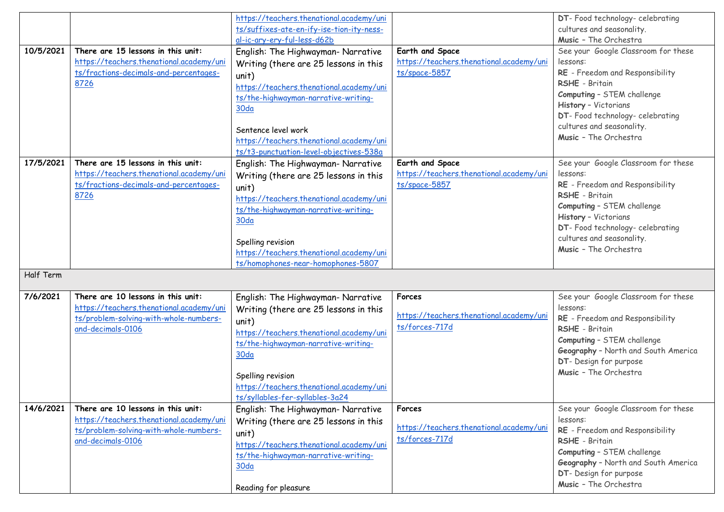|           |                                          | https://teachers.thenational.academy/uni  |                                          | DT- Food technology- celebrating                |
|-----------|------------------------------------------|-------------------------------------------|------------------------------------------|-------------------------------------------------|
|           |                                          | ts/suffixes-ate-en-ify-ise-tion-ity-ness- |                                          | cultures and seasonality.                       |
|           |                                          | al-ic-ary-ery-ful-less-d62b               |                                          | Music - The Orchestra                           |
| 10/5/2021 | There are 15 lessons in this unit:       | English: The Highwayman- Narrative        | Earth and Space                          | See your Google Classroom for these             |
|           | https://teachers.thenational.academy/uni | Writing (there are 25 lessons in this     | https://teachers.thenational.academy/uni | lessons:                                        |
|           | ts/fractions-decimals-and-percentages-   | unit)                                     | ts/space-5857                            | RE - Freedom and Responsibility                 |
|           | 8726                                     | https://teachers.thenational.academy/uni  |                                          | RSHE - Britain                                  |
|           |                                          | ts/the-highwayman-narrative-writing-      |                                          | Computing - STEM challenge                      |
|           |                                          | 30 <sub>da</sub>                          |                                          | History - Victorians                            |
|           |                                          |                                           |                                          | DT- Food technology- celebrating                |
|           |                                          | Sentence level work                       |                                          | cultures and seasonality.                       |
|           |                                          | https://teachers.thenational.academy/uni  |                                          | Music - The Orchestra                           |
|           |                                          | ts/t3-punctuation-level-objectives-538a   |                                          |                                                 |
| 17/5/2021 | There are 15 lessons in this unit:       | English: The Highwayman- Narrative        | Earth and Space                          | See your Google Classroom for these             |
|           | https://teachers.thenational.academy/uni | Writing (there are 25 lessons in this     | https://teachers.thenational.academy/uni | lessons:                                        |
|           | ts/fractions-decimals-and-percentages-   | unit)                                     | ts/space-5857                            | RE - Freedom and Responsibility                 |
|           | 8726                                     | https://teachers.thenational.academy/uni  |                                          | RSHE - Britain                                  |
|           |                                          | ts/the-highwayman-narrative-writing-      |                                          | Computing - STEM challenge                      |
|           |                                          | 30 <sub>da</sub>                          |                                          | History - Victorians                            |
|           |                                          |                                           |                                          | DT- Food technology- celebrating                |
|           |                                          | Spelling revision                         |                                          | cultures and seasonality.                       |
|           |                                          | https://teachers.thenational.academy/uni  |                                          | Music - The Orchestra                           |
|           |                                          | ts/homophones-near-homophones-5807        |                                          |                                                 |
| Half Term |                                          |                                           |                                          |                                                 |
|           |                                          |                                           |                                          |                                                 |
| 7/6/2021  | There are 10 lessons in this unit:       | English: The Highwayman- Narrative        | Forces                                   | See your Google Classroom for these             |
|           | https://teachers.thenational.academy/uni | Writing (there are 25 lessons in this     | https://teachers.thenational.academy/uni | lessons:                                        |
|           | ts/problem-solving-with-whole-numbers-   | unit)                                     |                                          | RE - Freedom and Responsibility                 |
|           | and-decimals-0106                        | https://teachers.thenational.academy/uni  | ts/forces-717d                           | RSHE - Britain                                  |
|           |                                          | ts/the-highwayman-narrative-writing-      |                                          | Computing - STEM challenge                      |
|           |                                          | 30 <sub>da</sub>                          |                                          | Geography - North and South America             |
|           |                                          |                                           |                                          | DT- Design for purpose                          |
|           |                                          | Spelling revision                         |                                          | Music - The Orchestra                           |
|           |                                          | https://teachers.thenational.academy/uni  |                                          |                                                 |
|           |                                          | ts/syllables-fer-syllables-3a24           |                                          |                                                 |
| 14/6/2021 | There are 10 lessons in this unit:       | English: The Highwayman- Narrative        | Forces                                   | See your Google Classroom for these             |
|           | https://teachers.thenational.academy/uni | Writing (there are 25 lessons in this     |                                          | lessons:                                        |
|           | ts/problem-solving-with-whole-numbers-   | unit)                                     | https://teachers.thenational.academy/uni | RE - Freedom and Responsibility                 |
|           | and-decimals-0106                        | https://teachers.thenational.academy/uni  | ts/forces-717d                           | RSHE - Britain                                  |
|           |                                          | ts/the-highwayman-narrative-writing-      |                                          | Computing - STEM challenge                      |
|           |                                          | 30 <sub>da</sub>                          |                                          | Geography - North and South America             |
|           |                                          |                                           |                                          |                                                 |
|           |                                          |                                           |                                          | DT- Design for purpose<br>Music - The Orchestra |